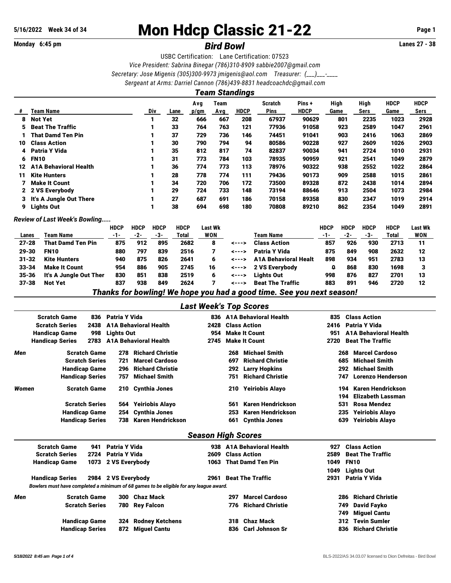# 5/16/2022 Week 34 of 34 **Mon Hdcp Classic 21-22** Page 1

## **Monday 6:45 pm** *Bird Bowl* **Lanes 27 - 38**

USBC Certification: Lane Certification: 07523 *Vice President: Sabrina Binegar (786)310-8909 [sabbie2007@gmail.com](mailto:sabbie2007@gmail.com) Secretary: Jose Migenis (305)300-9973 [jmigenis@aol.com](mailto:jmigenis@aol.com) Treasurer: (\_\_\_)\_\_\_-\_\_\_\_ Sergeant at Arms: Darriel Cannon (786)439-8831 [headcoachdc@gmail.com](mailto:headcoachdc@gmail.com)*

|    | <b>Team Standings</b>        |     |      |             |             |             |                        |                      |              |              |                     |                     |  |  |
|----|------------------------------|-----|------|-------------|-------------|-------------|------------------------|----------------------|--------------|--------------|---------------------|---------------------|--|--|
| #  | <b>Team Name</b>             | Div | Lane | Avg<br>p/gm | Team<br>Avg | <b>HDCP</b> | <b>Scratch</b><br>Pins | Pins+<br><b>HDCP</b> | High<br>Game | High<br>Sers | <b>HDCP</b><br>Game | <b>HDCP</b><br>Sers |  |  |
| 8  | <b>Not Yet</b>               |     | 32   | 666         | 667         | 208         | 67937                  | 90629                | 801          | 2235         | 1023                | 2928                |  |  |
| 5  | <b>Beat The Traffic</b>      |     | 33   | 764         | 763         | 121         | 77936                  | 91058                | 923          | 2589         | 1047                | 2961                |  |  |
|    | <b>That Damd Ten Pin</b>     |     | 37   | 729         | 736         | 146         | 74451                  | 91041                | 903          | 2416         | 1063                | 2869                |  |  |
| 10 | <b>Class Action</b>          |     | 30   | 790         | 794         | 94          | 80586                  | 90228                | 927          | 2609         | 1026                | 2903                |  |  |
| 4  | <b>Patria Y Vida</b>         |     | 35   | 812         | 817         | 74          | 82837                  | 90034                | 941          | 2724         | 1010                | 2931                |  |  |
| 6  | <b>FN10</b>                  |     | 31   | 773         | 784         | 103         | 78935                  | 90959                | 921          | 2541         | 1049                | 2879                |  |  |
| 12 | <b>A1A Behavioral Health</b> |     | 36   | 774         | 773         | 113         | 78976                  | 90322                | 938          | 2552         | 1022                | 2864                |  |  |
| 11 | <b>Kite Hunters</b>          |     | 28   | 778         | 774         | 111         | 79436                  | 90173                | 909          | 2588         | 1015                | 2861                |  |  |
|    | <b>Make It Count</b>         |     | 34   | 720         | 706         | 172         | 73500                  | 89328                | 872          | 2438         | 1014                | 2894                |  |  |
|    | 2 2 VS Everybody             |     | 29   | 724         | 733         | 148         | 73194                  | 88646                | 913          | 2504         | 1073                | 2984                |  |  |
|    | 3 It's A Jungle Out There    |     | 27   | 687         | 691         | 186         | 70158                  | 89358                | 830          | 2347         | 1019                | 2914                |  |  |
| 9  | <b>Lights Out</b>            |     | 38   | 694         | 698         | 180         | 70808                  | 89210                | 862          | 2354         | 1049                | 2891                |  |  |

*Review of Last Week's Bowling.....*

|           |                          | <b>HDCP</b> | <b>HDCP</b> | <b>HDCP</b> | <b>HDCP</b> | Last Wk    |                |                             | HDCP | <b>HDCP</b> | <b>HDCP</b> | <b>HDCP</b> | <b>Last Wk</b> |
|-----------|--------------------------|-------------|-------------|-------------|-------------|------------|----------------|-----------------------------|------|-------------|-------------|-------------|----------------|
| Lanes     | Team Name                | $-1-$       | -2-         | -3-         | Total       | <b>WON</b> |                | Team Name                   | -1-  | -2-         | -3-         | Total       | WON            |
| $27 - 28$ | <b>That Damd Ten Pin</b> | 875         | 912         | 895         | 2682        | 8          | $\leftarrow -$ | <b>Class Action</b>         | 857  | 926         | 930         | 2713        | 11             |
| 29-30     | <b>FN10</b>              | 880         | 797         | 839         | 2516        |            | <--->          | <b>Patria Y Vida</b>        | 875  | 849         | 908         | 2632        | 12             |
| $31 - 32$ | <b>Kite Hunters</b>      | 940         | 875         | 826         | 2641        | 6          | <--->          | <b>A1A Behavioral Healt</b> | 898  | 934         | 951         | 2783        | 13             |
| $33 - 34$ | <b>Make It Count</b>     | 954         | 886         | 905         | 2745        | 16         | <--->          | 2 VS Evervbody              | a    | 868         | 830         | 1698        |                |
| 35-36     | It's A Jungle Out Ther   | 830         | 851         | 838         | 2519        | 6          | <--->          | <b>Lights Out</b>           | 998  | 876         | 827         | 2701        | 13             |
| $37 - 38$ | Not Yet                  | 837         | 938         | 849         | 2624        |            | <--->          | <b>Beat The Traffic</b>     | 883  | 891         | 946         | 2720        | 12             |
|           | ___                      |             | _____       | _________   |             |            |                | ____                        |      |             |             |             |                |

*Thanks for bowling! We hope you had a good time. See you next season!*

*Last Week's Top Scores*

|       | <b>Scratch Game</b><br>836     | Patria Y Vida     |                              |                           |     | 836 A1A Behavioral Health    | 835  | <b>Class Action</b>             |
|-------|--------------------------------|-------------------|------------------------------|---------------------------|-----|------------------------------|------|---------------------------------|
|       | <b>Scratch Series</b><br>2438  |                   | <b>A1A Behavioral Health</b> | 2428                      |     | <b>Class Action</b>          | 2416 | Patria Y Vida                   |
|       | <b>Handicap Game</b><br>998    | <b>Lights Out</b> |                              | 954                       |     | <b>Make It Count</b>         | 951  | <b>A1A Behavioral Health</b>    |
|       | <b>Handicap Series</b><br>2783 |                   | <b>A1A Behavioral Health</b> | 2745                      |     | <b>Make It Count</b>         | 2720 | <b>Beat The Traffic</b>         |
| Men   | <b>Scratch Game</b>            | 278               | <b>Richard Christie</b>      |                           | 268 | <b>Michael Smith</b>         |      | <b>Marcel Cardoso</b><br>268    |
|       | <b>Scratch Series</b>          | 721               | <b>Marcel Cardoso</b>        |                           | 697 | <b>Richard Christie</b>      |      | <b>Michael Smith</b><br>685     |
|       | <b>Handicap Game</b>           | 296               | <b>Richard Christie</b>      |                           | 292 | <b>Larry Hopkins</b>         |      | <b>Michael Smith</b><br>292     |
|       | <b>Handicap Series</b>         | 757               | <b>Michael Smith</b>         |                           | 751 | <b>Richard Christie</b>      |      | <b>Lorenzo Henderson</b><br>747 |
| Women | <b>Scratch Game</b>            | 210               | Cynthia Jones                |                           | 210 | Yeiriobis Alayo              |      | Karen Hendrickson<br>194        |
|       |                                |                   |                              |                           |     |                              |      | <b>Elizabeth Lassman</b><br>194 |
|       | <b>Scratch Series</b>          | 564               | Yeiriobis Alayo              |                           | 561 | <b>Karen Hendrickson</b>     |      | 531<br>Rosa Mendez              |
|       | <b>Handicap Game</b>           | 254               | Cynthia Jones                |                           | 253 | Karen Hendrickson            |      | <b>Yeiriobis Alayo</b><br>235   |
|       | <b>Handicap Series</b>         | 738               | Karen Hendrickson            |                           | 661 | <b>Cynthia Jones</b>         |      | <b>Yeiriobis Alayo</b><br>639   |
|       |                                |                   |                              | <b>Season High Scores</b> |     |                              |      |                                 |
|       | <b>Scratch Game</b><br>941     | Patria Y Vida     |                              | 938                       |     | <b>A1A Behavioral Health</b> | 927  | <b>Class Action</b>             |

|     | эсгассн чанне                                                                          |                     | 941 Faliia I viua   |                        |      |                        | 950 - A LA DENAVIOI AL HEAIUL |      | 927 – Giass Action             |  |
|-----|----------------------------------------------------------------------------------------|---------------------|---------------------|------------------------|------|------------------------|-------------------------------|------|--------------------------------|--|
|     | <b>Scratch Series</b>                                                                  |                     | 2724 Patria Y Vida  |                        |      |                        | 2609 Class Action             | 2589 | <b>Beat The Traffic</b>        |  |
|     | <b>Handicap Game</b>                                                                   | 1073 2 VS Everybody |                     |                        |      | 1063 That Damd Ten Pin | 1049                          | FN10 |                                |  |
|     |                                                                                        |                     |                     |                        |      |                        |                               | 1049 | Lights Out                     |  |
|     | <b>Handicap Series</b>                                                                 |                     | 2984 2 VS Everybody |                        | 2961 |                        | <b>Beat The Traffic</b>       |      | 2931 Patria Y Vida             |  |
|     | Bowlers must have completed a minimum of 68 games to be eligible for any league award. |                     |                     |                        |      |                        |                               |      |                                |  |
| Men | <b>Scratch Game</b>                                                                    |                     | 300                 | Chaz Mack              |      | 297                    | <b>Marcel Cardoso</b>         |      | <b>Richard Christie</b><br>286 |  |
|     | <b>Scratch Series</b>                                                                  |                     |                     | 780 Rey Falcon         |      |                        | 776 Richard Christie          |      | David Fayko<br>749             |  |
|     |                                                                                        |                     |                     |                        |      |                        |                               |      | 749 Miquel Cantu               |  |
|     | <b>Handicap Game</b>                                                                   |                     | 324                 | <b>Rodney Ketchens</b> |      |                        | 318 Chaz Mack                 |      | 312 Tevin Sumler               |  |
|     | <b>Handicap Series</b>                                                                 |                     |                     | 872 Miguel Cantu       |      |                        | 836 Carl Johnson Sr           |      | 836 Richard Christie           |  |
|     |                                                                                        |                     |                     |                        |      |                        |                               |      |                                |  |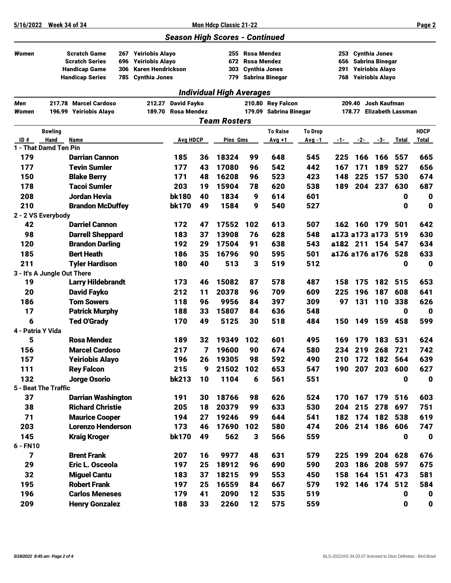### *Season High Scores - Continued*

*Individual High Averages*

- 
- *Women* Scratch Game 267 Yeiriobis Alayo 255 Rosa Mendez 253 Cynthia Jones

306 Karen Hendrickson

Scratch Series 696 Yeiriobis Alayo 672 Rosa Mendez 656 Sabrina Binegar

Handicap Series 785 Cynthia Jones 779 Sabrina Binegar 768 Yeiriobis Alayo

| Men               |                             | 217.78 Marcel Cardoso     | 212.27 David Fayko |    |                     |     | 210.80 Rey Falcon      |                | 209.40 Josh Kaufman |         |                          |              |              |  |
|-------------------|-----------------------------|---------------------------|--------------------|----|---------------------|-----|------------------------|----------------|---------------------|---------|--------------------------|--------------|--------------|--|
| Women             |                             | 196.99 Yeiriobis Alayo    | 189.70 Rosa Mendez |    |                     |     | 179.09 Sabrina Binegar |                |                     |         | 178.77 Elizabeth Lassman |              |              |  |
|                   |                             |                           |                    |    | <b>Team Rosters</b> |     |                        |                |                     |         |                          |              |              |  |
|                   | <b>Bowling</b>              |                           |                    |    |                     |     | <b>To Raise</b>        | <b>To Drop</b> |                     |         |                          |              | <b>HDCP</b>  |  |
| ID#               | Hand                        | Name                      | <b>Avg HDCP</b>    |    | Pins Gms            |     | Avg +1                 | Avg -1         | -1-                 | -2-     | $-3-$                    | <b>Total</b> | <b>Total</b> |  |
|                   | 1 - That Damd Ten Pin       |                           |                    |    |                     |     |                        |                |                     |         |                          |              |              |  |
| 179               |                             | <b>Darrian Cannon</b>     | 185                | 36 | 18324               | 99  | 648                    | 545            | 225                 | 166     | 166                      | 557          | 665          |  |
| 177               |                             | <b>Tevin Sumler</b>       | 177                | 43 | 17080               | 96  | 542                    | 442            | 167                 | 171     | 189                      | 527          | 656          |  |
| 150               |                             | <b>Blake Berry</b>        | 171                | 48 | 16208               | 96  | 523                    | 423            | 148                 | 225     | 157                      | 530          | 674          |  |
| 178               |                             | <b>Tacoi Sumler</b>       | 203                | 19 | 15904               | 78  | 620                    | 538            | 189                 | 204     | 237                      | 630          | 687          |  |
| 208               |                             | Jordan Hevia              | <b>bk180</b>       | 40 | 1834                | 9   | 614<br>540             | 601            |                     |         |                          | 0            | 0            |  |
| 210               |                             | <b>Brandon McDuffey</b>   | <b>bk170</b>       | 49 | 1584                | 9   |                        | 527            |                     |         |                          | $\mathbf 0$  | 0            |  |
| 42                | 2 - 2 VS Everybody          | <b>Darriel Cannon</b>     | 172                | 47 | 17552               | 102 | 613                    | 507            |                     | 162 160 | 179                      | 501          | 642          |  |
| 98                |                             | <b>Darrell Sheppard</b>   | 183                | 37 | 13908               | 76  | 628                    | 548            |                     |         | a173 a173 a173           | 519          | 630          |  |
| 120               |                             | <b>Brandon Darling</b>    | 192                | 29 | 17504               | 91  | 638                    | 543            | a182 211            |         | 154                      | 547          | 634          |  |
| 185               |                             | <b>Bert Heath</b>         | 186                | 35 | 16796               | 90  | 595                    | 501            |                     |         | a176 a176 a176           | 528          | 633          |  |
| 211               |                             | <b>Tyler Hardison</b>     | 180                | 40 | 513                 | 3   | 519                    | 512            |                     |         |                          | 0            | $\bf{0}$     |  |
|                   | 3 - It's A Jungle Out There |                           |                    |    |                     |     |                        |                |                     |         |                          |              |              |  |
| 19                |                             | <b>Larry Hildebrandt</b>  | 173                | 46 | 15082               | 87  | 578                    | 487            | 158                 | 175     | 182                      | 515          | 653          |  |
| 20                |                             | <b>David Fayko</b>        | 212                | 11 | 20378               | 96  | 709                    | 609            | 225                 | 196     | 187                      | 608          | 641          |  |
| 186               |                             | <b>Tom Sowers</b>         | 118                | 96 | 9956                | 84  | 397                    | 309            | 97                  | 131     | 110                      | 338          | 626          |  |
| 17                |                             | <b>Patrick Murphy</b>     | 188                | 33 | 15807               | 84  | 636                    | 548            |                     |         |                          | $\mathbf 0$  | 0            |  |
| 6                 |                             | <b>Ted O'Grady</b>        | 170                | 49 | 5125                | 30  | 518                    | 484            | 150                 | 149     | 159                      | 458          | 599          |  |
| 4 - Patria Y Vida |                             |                           |                    |    |                     |     |                        |                |                     |         |                          |              |              |  |
| 5                 |                             | <b>Rosa Mendez</b>        | 189                | 32 | 19349               | 102 | 601                    | 495            | 169                 | 179     | 183                      | 531          | 624          |  |
| 156               |                             | <b>Marcel Cardoso</b>     | 217                | 7  | 19600               | 90  | 674                    | 580            | 234                 | 219     | 268                      | 721          | 742          |  |
| 157               |                             | <b>Yeiriobis Alayo</b>    | 196                | 26 | 19305               | 98  | 592                    | 490            | 210                 | 172     | 182                      | 564          | 639          |  |
| 111               |                             | <b>Rey Falcon</b>         | 215                | 9  | 21502               | 102 | 653                    | 547            | 190                 | 207     | 203                      | 600          | 627          |  |
| 132               |                             | <b>Jorge Osorio</b>       | <b>bk213</b>       | 10 | 1104                | 6   | 561                    | 551            |                     |         |                          | 0            | 0            |  |
|                   | 5 - Beat The Traffic        |                           |                    |    |                     |     |                        |                |                     |         |                          |              |              |  |
| 37                |                             | <b>Darrian Washington</b> | 191                | 30 | 18766               | 98  | 626                    | 524            | 170                 | 167     | 179                      | 516          | 603          |  |
| 38                |                             | <b>Richard Christie</b>   | 205                | 18 | 20379               | 99  | 633                    | 530            | 204                 | 215     | 278                      | 697          | 751          |  |
| 71                |                             | <b>Maurice Cooper</b>     | 194                | 27 | 19246               | 99  | 644                    | 541            | 182                 | 174     | 182                      | 538          | 619          |  |
| 203               |                             | <b>Lorenzo Henderson</b>  | 173                | 46 | 17690               | 102 | 580                    | 474            | 206                 | 214     | 186                      | 606          | 747          |  |
| 145               |                             | <b>Kraig Kroger</b>       | <b>bk170</b>       | 49 | 562                 | 3   | 566                    | 559            |                     |         |                          | 0            | 0            |  |
| 6 - FN10          |                             |                           |                    |    |                     |     |                        |                |                     |         |                          |              |              |  |
| 7                 |                             | <b>Brent Frank</b>        | 207                | 16 | 9977                | 48  | 631                    | 579            | 225                 | 199     | 204                      | 628          | 676          |  |
| 29                |                             | Eric L. Osceola           | 197                | 25 | 18912               | 96  | 690                    | 590            | 203                 | 186     | 208                      | 597          | 675          |  |
| 32                |                             | <b>Miguel Cantu</b>       | 183                | 37 | 18215               | 99  | 553                    | 450            | 158                 | 164     | 151                      | 473          | 581          |  |
| 195               |                             | <b>Robert Frank</b>       | 197                | 25 | 16559               | 84  | 667                    | 579            | 192                 |         | 146 174                  | 512          | 584          |  |
| 196               |                             | <b>Carlos Meneses</b>     | 179                | 41 | 2090                | 12  | 535                    | 519            |                     |         |                          | $\mathbf 0$  | 0            |  |
| 209               |                             | <b>Henry Gonzalez</b>     | 188                | 33 | 2260                | 12  | 575                    | 559            |                     |         |                          | $\mathbf 0$  | $\bf{0}$     |  |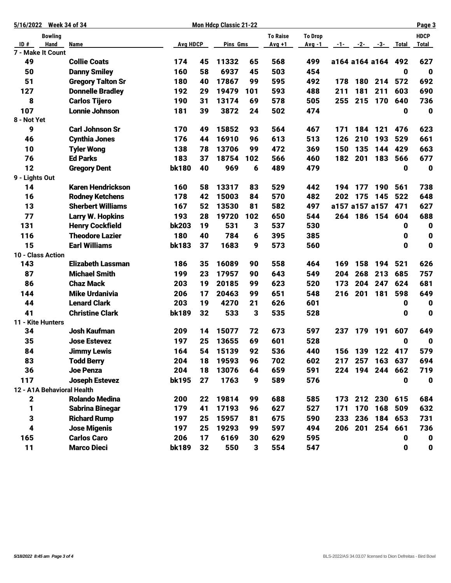|                | 5/16/2022 Week 34 of 34 |                            |                 |    | <b>Mon Hdcp Classic 21-22</b> |     |                 |                |     |     |                     |              | Page 3           |
|----------------|-------------------------|----------------------------|-----------------|----|-------------------------------|-----|-----------------|----------------|-----|-----|---------------------|--------------|------------------|
|                | <b>Bowling</b>          |                            |                 |    |                               |     | <b>To Raise</b> | <b>To Drop</b> |     |     |                     |              | <b>HDCP</b>      |
| ID#            | Hand                    | Name                       | <b>Avg HDCP</b> |    | Pins Gms                      |     | Avg +1          | Avg -1         |     |     | $-1$ $-2$ $-3$ $-3$ | Total        | <b>Total</b>     |
|                | 7 - Make It Count       |                            |                 |    |                               |     |                 |                |     |     |                     |              |                  |
| 49             |                         | <b>Collie Coats</b>        | 174             | 45 | 11332                         | 65  | 568             | 499            |     |     | a164 a164 a164 492  |              | 627              |
| 50             |                         | <b>Danny Smiley</b>        | 160             | 58 | 6937                          | 45  | 503             | 454            |     |     |                     | 0            | $\mathbf 0$      |
| 51             |                         | <b>Gregory Talton Sr</b>   | 180             | 40 | 17867                         | 99  | 595             | 492            | 178 | 180 | 214                 | 572          | 692              |
| 127            |                         | <b>Donnelle Bradley</b>    | 192             | 29 | 19479                         | 101 | 593             | 488            | 211 | 181 | 211                 | 603          | 690              |
| 8              |                         | <b>Carlos Tijero</b>       | 190             | 31 | 13174                         | 69  | 578             | 505            | 255 |     | 215 170             | 640          | 736              |
| 107            |                         | <b>Lonnie Johnson</b>      | 181             | 39 | 3872                          | 24  | 502             | 474            |     |     |                     | 0            | $\mathbf 0$      |
| 8 - Not Yet    |                         |                            |                 |    |                               |     |                 |                |     |     |                     |              |                  |
| 9              |                         | <b>Carl Johnson Sr</b>     | 170             | 49 | 15852                         | 93  | 564             | 467            | 171 | 184 | 121                 | 476          | 623              |
| 46             |                         | <b>Cynthia Jones</b>       | 176             | 44 | 16910                         | 96  | 613             | 513            | 126 | 210 | 193                 | 529          | 661              |
| 10             |                         | <b>Tyler Wong</b>          | 138             | 78 | 13706                         | 99  | 472             | 369            | 150 | 135 | 144                 | 429          | 663              |
| 76             |                         | <b>Ed Parks</b>            | 183             | 37 | 18754                         | 102 | 566             | 460            | 182 | 201 | 183                 | 566          | 677              |
| 12             |                         | <b>Gregory Dent</b>        | <b>bk180</b>    | 40 | 969                           | 6   | 489             | 479            |     |     |                     | 0            | $\mathbf 0$      |
| 9 - Lights Out |                         |                            |                 |    |                               |     |                 |                |     |     |                     |              |                  |
| 14             |                         | <b>Karen Hendrickson</b>   | 160             | 58 | 13317                         | 83  | 529             | 442            | 194 | 177 | 190                 | 561          | 738              |
| 16             |                         | <b>Rodney Ketchens</b>     | 178             | 42 | 15003                         | 84  | 570             | 482            | 202 | 175 | 145                 | 522          | 648              |
| 13             |                         | <b>Sherbert Williams</b>   | 167             | 52 | 13530                         | 81  | 582             | 497            |     |     | a157 a157 a157      | 471          | 627              |
| 77             |                         | <b>Larry W. Hopkins</b>    | 193             | 28 | 19720                         | 102 | 650             | 544            | 264 |     | 186 154             | 604          | 688              |
| 131            |                         | <b>Henry Cockfield</b>     | <b>bk203</b>    | 19 | 531                           | 3   | 537             | 530            |     |     |                     | 0            | $\mathbf 0$      |
| 116            |                         | <b>Theodore Lazier</b>     | 180             | 40 | 784                           | 6   | 395             | 385            |     |     |                     | 0            | $\boldsymbol{0}$ |
| 15             |                         | <b>Earl Williams</b>       | <b>bk183</b>    | 37 | 1683                          | 9   | 573             | 560            |     |     |                     | $\mathbf{0}$ | $\mathbf 0$      |
|                | 10 - Class Action       |                            |                 |    |                               |     |                 |                |     |     |                     |              |                  |
| 143            |                         | <b>Elizabeth Lassman</b>   | 186             | 35 | 16089                         | 90  | 558             | 464            | 169 | 158 | 194                 | 521          | 626              |
| 87             |                         | <b>Michael Smith</b>       | 199             | 23 | 17957                         | 90  | 643             | 549            | 204 | 268 | 213                 | 685          | 757              |
| 86             |                         | <b>Chaz Mack</b>           | 203             | 19 | 20185                         | 99  | 623             | 520            | 173 | 204 | 247                 | 624          | 681              |
| 144            |                         | <b>Mike Urdanivia</b>      | 206             | 17 | 20463                         | 99  | 651             | 548            | 216 | 201 | 181                 | 598          | 649              |
| 44             |                         | <b>Lenard Clark</b>        | 203             | 19 | 4270                          | 21  | 626             | 601            |     |     |                     | 0            | $\mathbf 0$      |
| 41             |                         | <b>Christine Clark</b>     | <b>bk189</b>    | 32 | 533                           | 3   | 535             | 528            |     |     |                     | 0            | $\mathbf 0$      |
|                | 11 - Kite Hunters       |                            |                 |    |                               |     |                 |                |     |     |                     |              |                  |
| 34             |                         | <b>Josh Kaufman</b>        | 209             | 14 | 15077                         | 72  | 673             | 597            | 237 |     | 179 191             | 607          | 649              |
| 35             |                         | <b>Jose Estevez</b>        | 197             | 25 | 13655                         | 69  | 601             | 528            |     |     |                     | 0            | $\mathbf 0$      |
| 84             |                         | <b>Jimmy Lewis</b>         | 164             | 54 | 15139                         | 92  | 536             | 440            | 156 | 139 |                     | 122 417      | 579              |
| 83             |                         | <b>Todd Berry</b>          | 204             | 18 | 19593                         | 96  | 702             | 602            | 217 |     | 257 163 637         |              | 694              |
| 36             |                         | <b>Joe Penza</b>           | 204             | 18 | 13076                         | 64  | 659             | 591            | 224 |     | 194 244             | 662          | 719              |
| 117            |                         | <b>Joseph Estevez</b>      | <b>bk195</b>    | 27 | 1763                          | 9   | 589             | 576            |     |     |                     | 0            | $\mathbf 0$      |
|                |                         | 12 - A1A Behavioral Health |                 |    |                               |     |                 |                |     |     |                     |              |                  |
| 2              |                         | <b>Rolando Medina</b>      | 200             | 22 | 19814                         | 99  | 688             | 585            | 173 |     | 212 230             | 615          | 684              |
| 1              |                         | <b>Sabrina Binegar</b>     | 179             | 41 | 17193                         | 96  | 627             | 527            | 171 | 170 | 168                 | 509          | 632              |
| 3              |                         | <b>Richard Rump</b>        | 197             | 25 | 15957                         | 81  | 675             | 590            | 233 | 236 | 184                 | 653          | 731              |
| 4              |                         | <b>Jose Migenis</b>        | 197             | 25 | 19293                         | 99  | 597             | 494            | 206 |     | 201 254             | 661          | 736              |
| 165            |                         | <b>Carlos Caro</b>         | 206             | 17 | 6169                          | 30  | 629             | 595            |     |     |                     | 0            | $\mathbf 0$      |
| 11             |                         | <b>Marco Dieci</b>         | <b>bk189</b>    | 32 | 550                           | 3   | 554             | 547            |     |     |                     | 0            | $\pmb{0}$        |